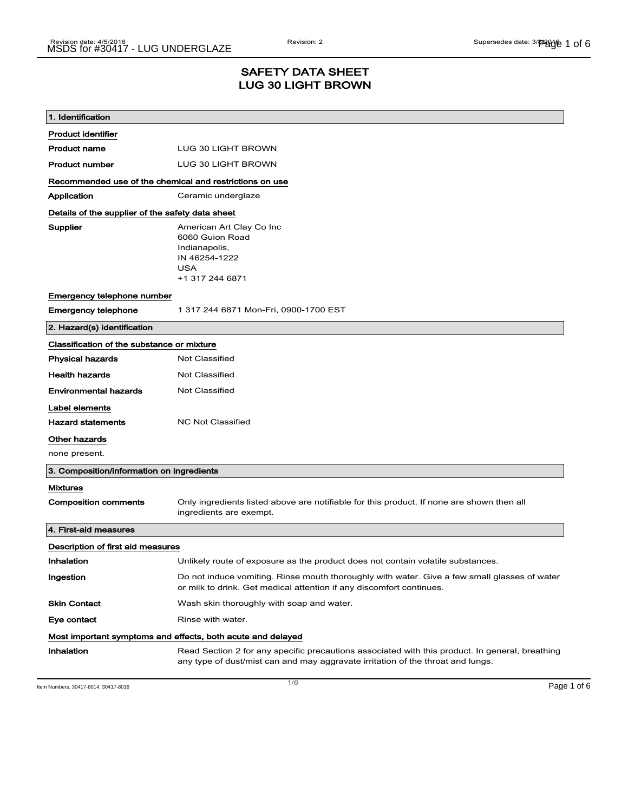## SAFETY DATA SHEET LUG 30 LIGHT BROWN

| 1. Identification                                           |                                                                                                                                                                                    |
|-------------------------------------------------------------|------------------------------------------------------------------------------------------------------------------------------------------------------------------------------------|
| <b>Product identifier</b>                                   |                                                                                                                                                                                    |
| <b>Product name</b>                                         | LUG 30 LIGHT BROWN                                                                                                                                                                 |
| <b>Product number</b>                                       | LUG 30 LIGHT BROWN                                                                                                                                                                 |
| Recommended use of the chemical and restrictions on use     |                                                                                                                                                                                    |
| Application                                                 | Ceramic underglaze                                                                                                                                                                 |
| Details of the supplier of the safety data sheet            |                                                                                                                                                                                    |
| Supplier                                                    | American Art Clay Co Inc<br>6060 Guion Road<br>Indianapolis,<br>IN 46254-1222<br><b>USA</b><br>+1 317 244 6871                                                                     |
| Emergency telephone number                                  |                                                                                                                                                                                    |
| <b>Emergency telephone</b>                                  | 1 317 244 6871 Mon-Fri, 0900-1700 EST                                                                                                                                              |
| 2. Hazard(s) identification                                 |                                                                                                                                                                                    |
| Classification of the substance or mixture                  |                                                                                                                                                                                    |
| <b>Physical hazards</b>                                     | <b>Not Classified</b>                                                                                                                                                              |
| <b>Health hazards</b>                                       | <b>Not Classified</b>                                                                                                                                                              |
| <b>Environmental hazards</b>                                | Not Classified                                                                                                                                                                     |
| Label elements                                              |                                                                                                                                                                                    |
| <b>Hazard statements</b>                                    | <b>NC Not Classified</b>                                                                                                                                                           |
| Other hazards                                               |                                                                                                                                                                                    |
| none present.                                               |                                                                                                                                                                                    |
| 3. Composition/information on ingredients                   |                                                                                                                                                                                    |
| <b>Mixtures</b>                                             |                                                                                                                                                                                    |
| <b>Composition comments</b>                                 | Only ingredients listed above are notifiable for this product. If none are shown then all<br>ingredients are exempt.                                                               |
| 4. First-aid measures                                       |                                                                                                                                                                                    |
| Description of first aid measures                           |                                                                                                                                                                                    |
| Inhalation                                                  | Unlikely route of exposure as the product does not contain volatile substances.                                                                                                    |
| Ingestion                                                   | Do not induce vomiting. Rinse mouth thoroughly with water. Give a few small glasses of water<br>or milk to drink. Get medical attention if any discomfort continues.               |
| <b>Skin Contact</b>                                         | Wash skin thoroughly with soap and water.                                                                                                                                          |
| Eye contact                                                 | Rinse with water.                                                                                                                                                                  |
| Most important symptoms and effects, both acute and delayed |                                                                                                                                                                                    |
| Inhalation                                                  | Read Section 2 for any specific precautions associated with this product. In general, breathing<br>any type of dust/mist can and may aggravate irritation of the throat and lungs. |

Item Numbers: 30417-8014, 30417-8016 Page 1 of 6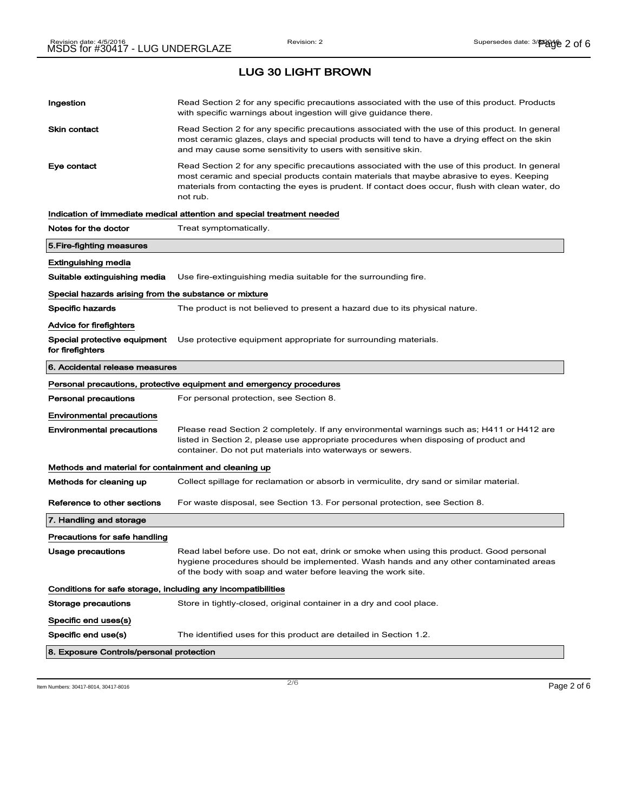| Ingestion                                                    | Read Section 2 for any specific precautions associated with the use of this product. Products<br>with specific warnings about ingestion will give guidance there.                                                                                                                                           |  |
|--------------------------------------------------------------|-------------------------------------------------------------------------------------------------------------------------------------------------------------------------------------------------------------------------------------------------------------------------------------------------------------|--|
| <b>Skin contact</b>                                          | Read Section 2 for any specific precautions associated with the use of this product. In general<br>most ceramic glazes, clays and special products will tend to have a drying effect on the skin<br>and may cause some sensitivity to users with sensitive skin.                                            |  |
| Eye contact                                                  | Read Section 2 for any specific precautions associated with the use of this product. In general<br>most ceramic and special products contain materials that maybe abrasive to eyes. Keeping<br>materials from contacting the eyes is prudent. If contact does occur, flush with clean water, do<br>not rub. |  |
|                                                              | Indication of immediate medical attention and special treatment needed                                                                                                                                                                                                                                      |  |
| Notes for the doctor                                         | Treat symptomatically.                                                                                                                                                                                                                                                                                      |  |
| 5.Fire-fighting measures                                     |                                                                                                                                                                                                                                                                                                             |  |
| Extinguishing media                                          |                                                                                                                                                                                                                                                                                                             |  |
| Suitable extinguishing media                                 | Use fire-extinguishing media suitable for the surrounding fire.                                                                                                                                                                                                                                             |  |
| Special hazards arising from the substance or mixture        |                                                                                                                                                                                                                                                                                                             |  |
| <b>Specific hazards</b>                                      | The product is not believed to present a hazard due to its physical nature.                                                                                                                                                                                                                                 |  |
| Advice for firefighters                                      |                                                                                                                                                                                                                                                                                                             |  |
| Special protective equipment<br>for firefighters             | Use protective equipment appropriate for surrounding materials.                                                                                                                                                                                                                                             |  |
| 6. Accidental release measures                               |                                                                                                                                                                                                                                                                                                             |  |
|                                                              | Personal precautions, protective equipment and emergency procedures                                                                                                                                                                                                                                         |  |
| Personal precautions                                         | For personal protection, see Section 8.                                                                                                                                                                                                                                                                     |  |
| <b>Environmental precautions</b>                             |                                                                                                                                                                                                                                                                                                             |  |
| <b>Environmental precautions</b>                             | Please read Section 2 completely. If any environmental warnings such as; H411 or H412 are<br>listed in Section 2, please use appropriate procedures when disposing of product and<br>container. Do not put materials into waterways or sewers.                                                              |  |
| Methods and material for containment and cleaning up         |                                                                                                                                                                                                                                                                                                             |  |
| Methods for cleaning up                                      | Collect spillage for reclamation or absorb in vermiculite, dry sand or similar material.                                                                                                                                                                                                                    |  |
| Reference to other sections                                  | For waste disposal, see Section 13. For personal protection, see Section 8.                                                                                                                                                                                                                                 |  |
| 7. Handling and storage                                      |                                                                                                                                                                                                                                                                                                             |  |
| Precautions for safe handling                                |                                                                                                                                                                                                                                                                                                             |  |
| Usage precautions                                            | Read label before use. Do not eat, drink or smoke when using this product. Good personal<br>hygiene procedures should be implemented. Wash hands and any other contaminated areas<br>of the body with soap and water before leaving the work site.                                                          |  |
| Conditions for safe storage, including any incompatibilities |                                                                                                                                                                                                                                                                                                             |  |
| <b>Storage precautions</b>                                   | Store in tightly-closed, original container in a dry and cool place.                                                                                                                                                                                                                                        |  |
| Specific end uses(s)                                         |                                                                                                                                                                                                                                                                                                             |  |
| Specific end use(s)                                          | The identified uses for this product are detailed in Section 1.2.                                                                                                                                                                                                                                           |  |
| 8. Exposure Controls/personal protection                     |                                                                                                                                                                                                                                                                                                             |  |
|                                                              |                                                                                                                                                                                                                                                                                                             |  |

Item Numbers: 30417-8014, 30417-8016  $P$ age 2 of 6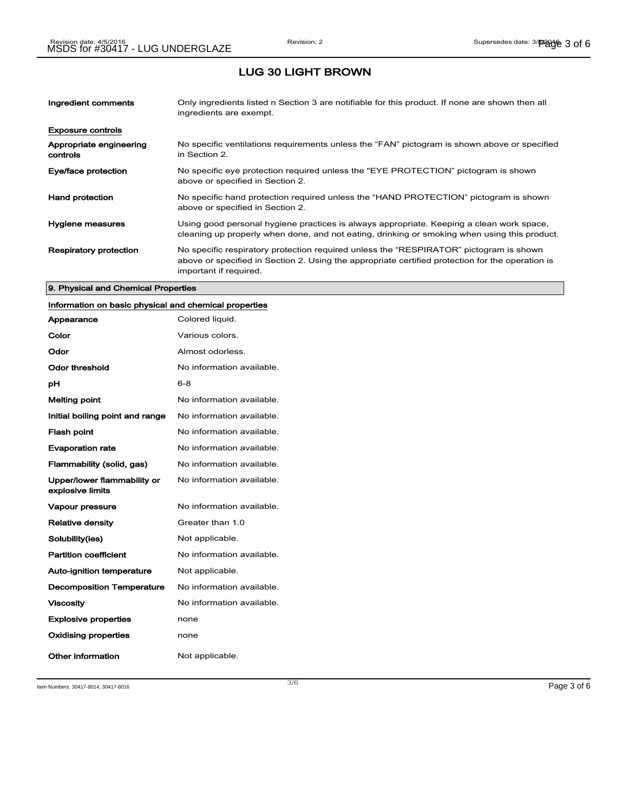| Ingredient comments                 | Only ingredients listed n Section 3 are notifiable for this product. If none are shown then all<br>ingredients are exempt.                                                                                           |
|-------------------------------------|----------------------------------------------------------------------------------------------------------------------------------------------------------------------------------------------------------------------|
| <b>Exposure controls</b>            |                                                                                                                                                                                                                      |
| Appropriate engineering<br>controls | No specific ventilations requirements unless the "FAN" pictogram is shown above or specified<br>in Section 2.                                                                                                        |
| Eye/face protection                 | No specific eye protection required unless the "EYE PROTECTION" pictogram is shown<br>above or specified in Section 2.                                                                                               |
| <b>Hand protection</b>              | No specific hand protection required unless the "HAND PROTECTION" pictogram is shown<br>above or specified in Section 2.                                                                                             |
| Hygiene measures                    | Using good personal hygiene practices is always appropriate. Keeping a clean work space,<br>cleaning up properly when done, and not eating, drinking or smoking when using this product.                             |
| <b>Respiratory protection</b>       | No specific respiratory protection required unless the "RESPIRATOR" pictogram is shown<br>above or specified in Section 2. Using the appropriate certified protection for the operation is<br>important if required. |

#### 9. Physical and Chemical Properties

## Information on basic physical and chemical properties

| Appearance                                      | Colored liquid.           |
|-------------------------------------------------|---------------------------|
| Color                                           | Various colors.           |
| Odor                                            | Almost odorless.          |
| Odor threshold                                  | No information available. |
| рH                                              | $6 - 8$                   |
| Melting point                                   | No information available. |
| Initial boiling point and range                 | No information available. |
| <b>Flash point</b>                              | No information available. |
| <b>Evaporation rate</b>                         | No information available. |
| Flammability (solid, gas)                       | No information available. |
| Upper/lower flammability or<br>explosive limits | No information available. |
| Vapour pressure                                 | No information available. |
| <b>Relative density</b>                         | Greater than 1.0          |
| Solubility(ies)                                 | Not applicable.           |
| <b>Partition coefficient</b>                    | No information available. |
| <b>Auto-ignition temperature</b>                | Not applicable.           |
| <b>Decomposition Temperature</b>                | No information available. |
| <b>Viscosity</b>                                | No information available. |
| <b>Explosive properties</b>                     | none                      |
| Oxidising properties                            | none                      |
| Other information                               | Not applicable.           |

Item Numbers: 30417-8014, 30417-8016 Page 3 of 6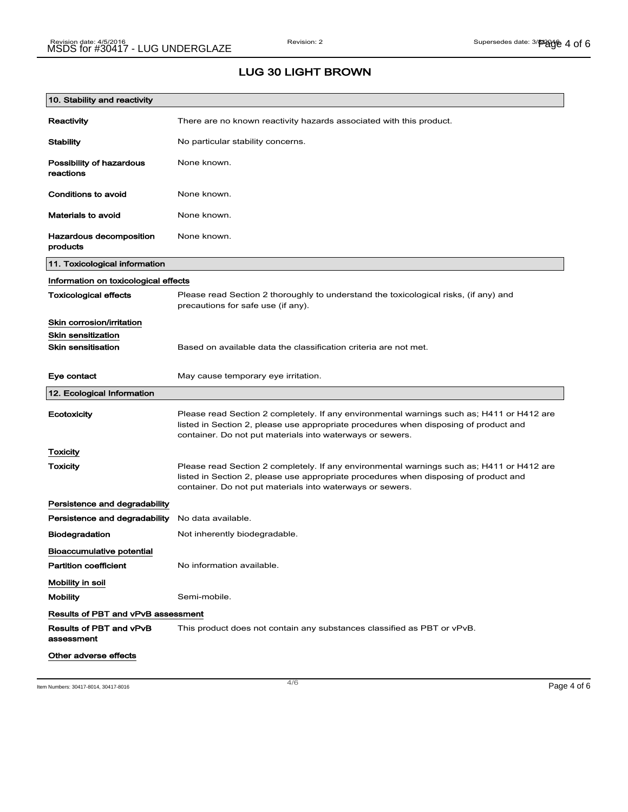## LUG 30 LIGHT BROWN

| 10. Stability and reactivity              |                                                                                                                                                                                                                                                |
|-------------------------------------------|------------------------------------------------------------------------------------------------------------------------------------------------------------------------------------------------------------------------------------------------|
| Reactivity                                | There are no known reactivity hazards associated with this product.                                                                                                                                                                            |
| <b>Stability</b>                          | No particular stability concerns.                                                                                                                                                                                                              |
| Possibility of hazardous<br>reactions     | None known.                                                                                                                                                                                                                                    |
| Conditions to avoid                       | None known.                                                                                                                                                                                                                                    |
| <b>Materials to avoid</b>                 | None known.                                                                                                                                                                                                                                    |
| Hazardous decomposition<br>products       | None known.                                                                                                                                                                                                                                    |
| 11. Toxicological information             |                                                                                                                                                                                                                                                |
| Information on toxicological effects      |                                                                                                                                                                                                                                                |
| <b>Toxicological effects</b>              | Please read Section 2 thoroughly to understand the toxicological risks, (if any) and<br>precautions for safe use (if any).                                                                                                                     |
| Skin corrosion/irritation                 |                                                                                                                                                                                                                                                |
| <b>Skin sensitization</b>                 |                                                                                                                                                                                                                                                |
| <b>Skin sensitisation</b>                 | Based on available data the classification criteria are not met.                                                                                                                                                                               |
| Eye contact                               | May cause temporary eye irritation.                                                                                                                                                                                                            |
| 12. Ecological Information                |                                                                                                                                                                                                                                                |
| Ecotoxicity                               | Please read Section 2 completely. If any environmental warnings such as; H411 or H412 are<br>listed in Section 2, please use appropriate procedures when disposing of product and<br>container. Do not put materials into waterways or sewers. |
| Toxicity                                  |                                                                                                                                                                                                                                                |
| Toxicity                                  | Please read Section 2 completely. If any environmental warnings such as; H411 or H412 are<br>listed in Section 2, please use appropriate procedures when disposing of product and<br>container. Do not put materials into waterways or sewers. |
| Persistence and degradability             |                                                                                                                                                                                                                                                |
| Persistence and degradability             | No data available.                                                                                                                                                                                                                             |
| <b>Biodegradation</b>                     | Not inherently biodegradable.                                                                                                                                                                                                                  |
| <b>Bioaccumulative potential</b>          |                                                                                                                                                                                                                                                |
| <b>Partition coefficient</b>              | No information available.                                                                                                                                                                                                                      |
| Mobility in soil                          |                                                                                                                                                                                                                                                |
| <b>Mobility</b>                           | Semi-mobile.                                                                                                                                                                                                                                   |
| <b>Results of PBT and vPvB assessment</b> |                                                                                                                                                                                                                                                |
| Results of PBT and vPvB<br>assessment     | This product does not contain any substances classified as PBT or vPvB.                                                                                                                                                                        |
| Other adverse effects                     |                                                                                                                                                                                                                                                |

Item Numbers: 30417-8014, 30417-8016 Page 4 of 6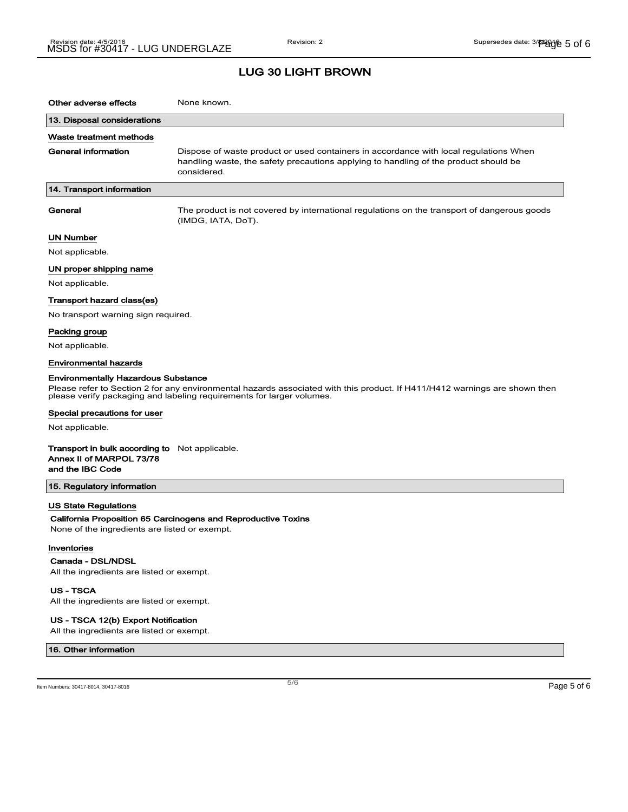| Other adverse effects                                                                                 | None known.                                                                                                                                                                                         |
|-------------------------------------------------------------------------------------------------------|-----------------------------------------------------------------------------------------------------------------------------------------------------------------------------------------------------|
| 13. Disposal considerations                                                                           |                                                                                                                                                                                                     |
| Waste treatment methods                                                                               |                                                                                                                                                                                                     |
| General information                                                                                   | Dispose of waste product or used containers in accordance with local regulations When<br>handling waste, the safety precautions applying to handling of the product should be<br>considered.        |
| 14. Transport information                                                                             |                                                                                                                                                                                                     |
| General                                                                                               | The product is not covered by international regulations on the transport of dangerous goods<br>(IMDG, IATA, DoT).                                                                                   |
| UN Number                                                                                             |                                                                                                                                                                                                     |
| Not applicable.                                                                                       |                                                                                                                                                                                                     |
| UN proper shipping name                                                                               |                                                                                                                                                                                                     |
| Not applicable.                                                                                       |                                                                                                                                                                                                     |
| Transport hazard class(es)                                                                            |                                                                                                                                                                                                     |
| No transport warning sign required.                                                                   |                                                                                                                                                                                                     |
| Packing group                                                                                         |                                                                                                                                                                                                     |
| Not applicable.                                                                                       |                                                                                                                                                                                                     |
| <b>Environmental hazards</b>                                                                          |                                                                                                                                                                                                     |
| <b>Environmentally Hazardous Substance</b>                                                            | Please refer to Section 2 for any environmental hazards associated with this product. If H411/H412 warnings are shown then<br>please verify packaging and labeling requirements for larger volumes. |
| Special precautions for user                                                                          |                                                                                                                                                                                                     |
| Not applicable.                                                                                       |                                                                                                                                                                                                     |
| <b>Transport in bulk according to</b> Not applicable.<br>Annex II of MARPOL 73/78<br>and the IBC Code |                                                                                                                                                                                                     |
| 15. Regulatory information                                                                            |                                                                                                                                                                                                     |
| <b>US State Regulations</b>                                                                           |                                                                                                                                                                                                     |
| None of the ingredients are listed or exempt.                                                         | California Proposition 65 Carcinogens and Reproductive Toxins                                                                                                                                       |
| Inventories<br>Canada - DSL/NDSL<br>All the ingredients are listed or exempt.<br><b>US-TSCA</b>       |                                                                                                                                                                                                     |

All the ingredients are listed or exempt.

#### US - TSCA 12(b) Export Notification

All the ingredients are listed or exempt.

#### 16. Other information